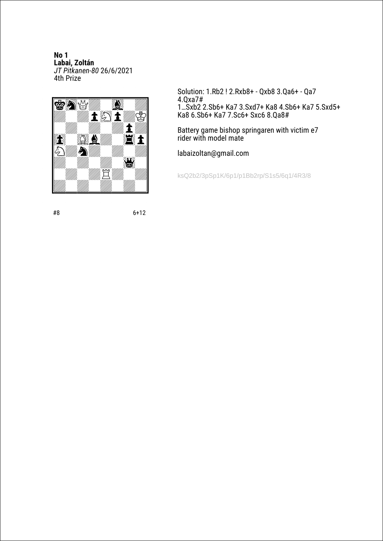**No 1 Labai, Zoltán** *JT Pitkanen-80* 26/6/2021 4th Prize



Solution: 1.Rb2 ! 2.Rxb8+ - Qxb8 3.Qa6+ - Qa7 4.Qxa7# 1…Sxb2 2.Sb6+ Ka7 3.Sxd7+ Ka8 4.Sb6+ Ka7 5.Sxd5+ Ka8 6.Sb6+ Ka7 7.Sc6+ Sxc6 8.Qa8#

Battery game bishop springaren with victim e7 rider with model mate

labaizoltan@gmail.com

ksQ2b2/3pSp1K/6p1/p1Bb2rp/S1s5/6q1/4R3/8

#8 6+12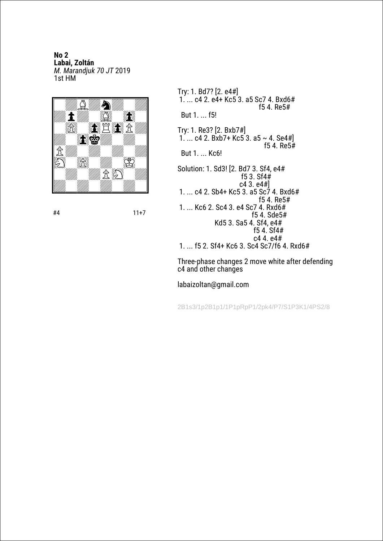**No 2 Labai, Zoltán** *M. Marandjuk 70 JT* 2019 1st HM



#4 11+7

Try: 1. Bd7? [2. e4#] 1. ... c4 2. e4+ Kc5 3. a5 Sc7 4. Bxd6# f5 4. Re5# But 1. ... f5! Try: 1. Re3? [2. Bxb7#] 1. ... c4 2. Bxb7+ Kc5 3. a5 ~ 4. Se4#] f5 4. Re5# But 1. ... Kc6! Solution: 1. Sd3! [2. Bd7 3. Sf4, e4# f5 3. Sf4 $#$  c4 3. e4#] 1. ... c4 2. Sb4+ Kc5 3. a5 Sc7 4. Bxd6# f5 4. Re5# 1. ... Kc6 2. Sc4 3. e4 Sc7 4. Rxd6# f5 4. Sde5# Kd5 3. Sa5 4. Sf4, e4# f5 4. Sf4#<br> $c4$  4.  $e4$ #  $c4$  4.  $e4$ # 1. ... f5 2. Sf4+ Kc6 3. Sc4 Sc7/f6 4. Rxd6#

Three-phase changes 2 move white after defending c4 and other changes

labaizoltan@gmail.com

2B1s3/1p2B1p1/1P1pRpP1/2pk4/P7/S1P3K1/4PS2/8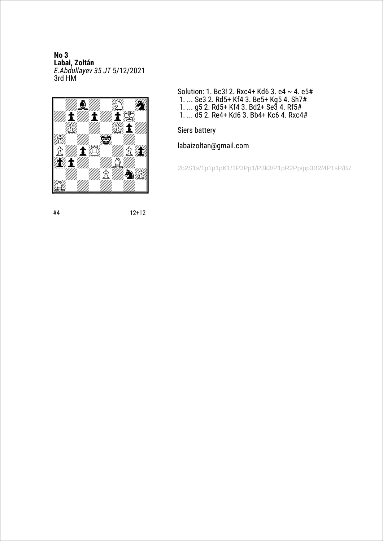**No 3 Labai, Zoltán** *E.Abdullayev 35 JT* 5/12/2021 3rd HM



Solution: 1. Bc3! 2. Rxc4+ Kd6 3. e4 ~ 4. e5# 1. ... Se3 2. Rd5+ Kf4 3. Be5+ Kg5 4. Sh7# 1. ... g5 2. Rd5+ Kf4 3. Bd2+ Se3 4. Rf5# 1. ... d5 2. Re4+ Kd6 3. Bb4+ Kc6 4. Rxc4#

Siers battery

labaizoltan@gmail.com

2b2S1s/1p1p1pK1/1P3Pp1/P3k3/P1pR2Pp/pp3B2/4P1sP/B7

#4 12+12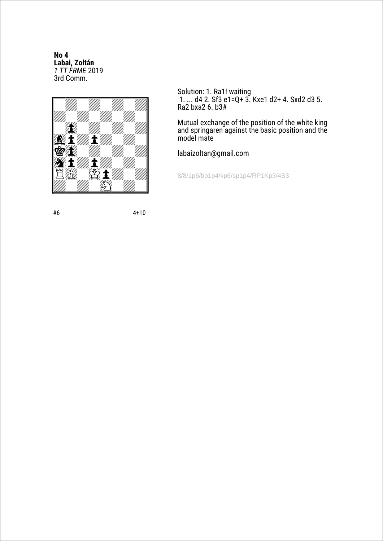No<sub>4</sub> Labai, Zoltán<br>1 TT FRME 2019 3rd Comm.



Solution: 1. Ra1! waiting<br>1. ... d4 2. Sf3 e1=Q+ 3. Kxe1 d2+ 4. Sxd2 d3 5. Ra2 bxa2 6. b3#

Mutual exchange of the position of the white king<br>and springaren against the basic position and the<br>model mate

labaizoltan@gmail.com

8/8/1p6/bp1p4/kp6/sp1p4/RP1Kp3/4S3

#6

 $4 + 10$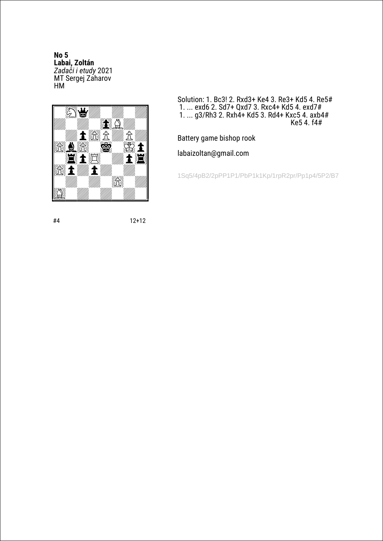**No 5 Labai, Zoltán** *Zadači i etudy* 2021 MT Sergej Zaharov HM



Solution: 1. Bc3! 2. Rxd3+ Ke4 3. Re3+ Kd5 4. Re5# 1. ... exd6 2. Sd7+ Qxd7 3. Rxc4+ Kd5 4. exd7# 1. ... g3/Rh3 2. Rxh4+ Kd5 3. Rd4+ Kxc5 4. axb4# Ke5 4. f4#

Battery game bishop rook

labaizoltan@gmail.com

1Sq5/4pB2/2pPP1P1/PbP1k1Kp/1rpR2pr/Pp1p4/5P2/B7

#4 12+12